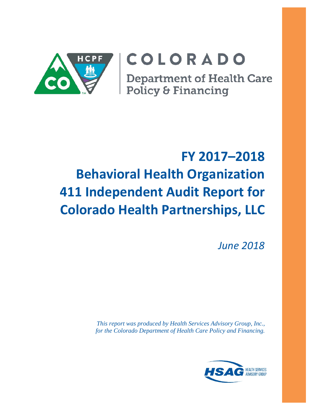

# COLORADO

**Department of Health Care** Policy & Financing

# **FY 2017–2018 Behavioral Health Organization 411 Independent Audit Report for Colorado Health Partnerships, LLC**

*June 2018*

*This report was produced by Health Services Advisory Group, Inc., for the Colorado Department of Health Care Policy and Financing.*

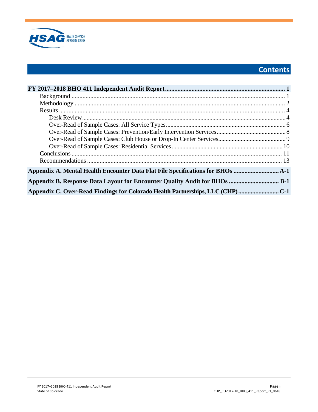

# **Contents**

| Appendix A. Mental Health Encounter Data Flat File Specifications for BHOs     |  |
|--------------------------------------------------------------------------------|--|
| Appendix B. Response Data Layout for Encounter Quality Audit for BHOs  B-1     |  |
| Appendix C. Over-Read Findings for Colorado Health Partnerships, LLC (CHP) C-1 |  |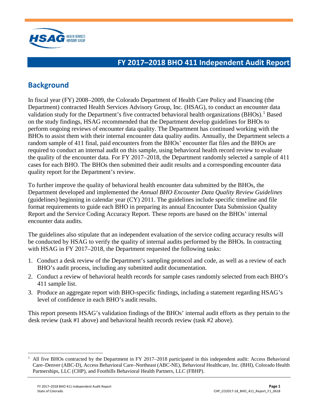

## <span id="page-2-0"></span>**FY 2017–2018 BHO 411 Independent Audit Report**

# <span id="page-2-1"></span>**Background**

In fiscal year (FY) 2008–2009, the Colorado Department of Health Care Policy and Financing (the Department) contracted Health Services Advisory Group, Inc. (HSAG), to conduct an encounter data validation study for the Department's five contracted behavioral health organizations  $(BHOs)$ .<sup>[1](#page-2-2)</sup> Based on the study findings, HSAG recommended that the Department develop guidelines for BHOs to perform ongoing reviews of encounter data quality. The Department has continued working with the BHOs to assist them with their internal encounter data quality audits. Annually, the Department selects a random sample of 411 final, paid encounters from the BHOs' encounter flat files and the BHOs are required to conduct an internal audit on this sample, using behavioral health record review to evaluate the quality of the encounter data. For FY 2017–2018, the Department randomly selected a sample of 411 cases for each BHO. The BHOs then submitted their audit results and a corresponding encounter data quality report for the Department's review.

To further improve the quality of behavioral health encounter data submitted by the BHOs, the Department developed and implemented the *Annual BHO Encounter Data Quality Review Guidelines* (guidelines) beginning in calendar year  $(CY)$  2011. The guidelines include specific timeline and file format requirements to guide each BHO in preparing its annual Encounter Data Submission Quality Report and the Service Coding Accuracy Report. These reports are based on the BHOs' internal encounter data audits.

The guidelines also stipulate that an independent evaluation of the service coding accuracy results will be conducted by HSAG to verify the quality of internal audits performed by the BHOs. In contracting with HSAG in FY 2017–2018, the Department requested the following tasks:

- 1. Conduct a desk review of the Department's sampling protocol and code, as well as a review of each BHO's audit process, including any submitted audit documentation.
- 2. Conduct a review of behavioral health records for sample cases randomly selected from each BHO's 411 sample list.
- 3. Produce an aggregate report with BHO-specific findings, including a statement regarding HSAG's level of confidence in each BHO's audit results.

This report presents HSAG's validation findings of the BHOs' internal audit efforts as they pertain to the desk review (task #1 above) and behavioral health records review (task #2 above).

<span id="page-2-2"></span> $1$  All five BHOs contracted by the Department in FY 2017–2018 participated in this independent audit: Access Behavioral Care–Denver (ABC-D), Access Behavioral Care–Northeast (ABC-NE), Behavioral Healthcare, Inc. (BHI), Colorado Health Partnerships, LLC (CHP), and Foothills Behavioral Health Partners, LLC (FBHP).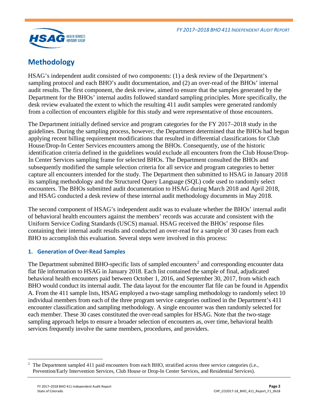

## <span id="page-3-0"></span>**Methodology**

HSAG's independent audit consisted of two components: (1) a desk review of the Department's sampling protocol and each BHO's audit documentation, and (2) an over-read of the BHOs' internal audit results. The first component, the desk review, aimed to ensure that the samples generated by the Department for the BHOs' internal audits followed standard sampling principles. More specifically, the desk review evaluated the extent to which the resulting 411 audit samples were generated randomly from a collection of encounters eligible for this study and were representative of those encounters.

The Department initially defined service and program categories for the FY 2017–2018 study in the guidelines. During the sampling process, however, the Department determined that the BHOs had begun applying recent billing requirement modifications that resulted in differential classifications for Club House/Drop-In Center Services encounters among the BHOs. Consequently, use of the historic identification criteria defined in the guidelines would exclude all encounters from the Club House/Drop-In Center Services sampling frame for selected BHOs. The Department consulted the BHOs and subsequently modified the sample selection criteria for all service and program categories to better capture all encounters intended for the study. The Department then submitted to HSAG in January 2018 its sampling methodology and the Structured Query Language (SQL) code used to randomly select encounters. The BHOs submitted audit documentation to HSAG during March 2018 and April 2018, and HSAG conducted a desk review of these internal audit methodology documents in May 2018.

The second component of HSAG's independent audit was to evaluate whether the BHOs' internal audit of behavioral health encounters against the members' records was accurate and consistent with the Uniform Service Coding Standards (USCS) manual. HSAG received the BHOs' response files containing their internal audit results and conducted an over-read for a sample of 30 cases from each BHO to accomplish this evaluation. Several steps were involved in this process:

#### **1. Generation of Over-Read Samples**

The Department submitted BHO-specific lists of sampled encounters<sup>[2](#page-3-1)</sup> and corresponding encounter data flat file information to HSAG in January 2018. Each list contained the sample of final, adjudicated behavioral health encounters paid between October 1, 2016, and September 30, 2017, from which each BHO would conduct its internal audit. The data layout for the encounter flat file can be found in Appendix A. From the 411 sample lists, HSAG employed a two-stage sampling methodology to randomly select 10 individual members from each of the three program service categories outlined in the Department's 411 encounter classification and sampling methodology. A single encounter was then randomly selected for each member. These 30 cases constituted the over-read samples for HSAG. Note that the two-stage sampling approach helps to ensure a broader selection of encounters as, over time, behavioral health services frequently involve the same members, procedures, and providers.

<span id="page-3-1"></span> $\overline{a}$ 2 The Department sampled 411 paid encounters from each BHO, stratified across three service categories (i.e., Prevention/Early Intervention Services, Club House or Drop-In Center Services, and Residential Services).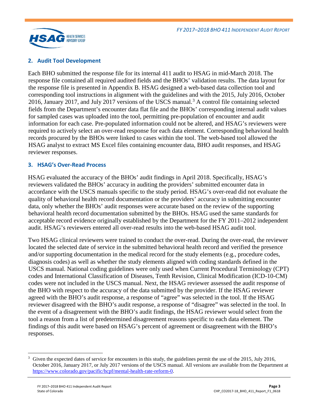

### **2. Audit Tool Development**

Each BHO submitted the response file for its internal 411 audit to HSAG in mid-March 2018. The response file contained all required audited fields and the BHOs' validation results. The data layout for the response file is presented in Appendix B. HSAG designed a web-based data collection tool and corresponding tool instructions in alignment with the guidelines and with the 2015, July 2016, October 2016, January 2017, and July 2017 versions of the USCS manual.<sup>[3](#page-4-0)</sup> A control file containing selected fields from the Department's encounter data flat file and the BHOs' corresponding internal audit values for sampled cases was uploaded into the tool, permitting pre-population of encounter and audit information for each case. Pre-populated information could not be altered, and HSAG's reviewers were required to actively select an over-read response for each data element. Corresponding behavioral health records procured by the BHOs were linked to cases within the tool. The web-based tool allowed the HSAG analyst to extract MS Excel files containing encounter data, BHO audit responses, and HSAG reviewer responses.

#### **3. HSAG's Over-Read Process**

HSAG evaluated the accuracy of the BHOs' audit findings in April 2018. Specifically, HSAG's reviewers validated the BHOs' accuracy in auditing the providers' submitted encounter data in accordance with the USCS manuals specific to the study period. HSAG's over-read did not evaluate the quality of behavioral health record documentation or the providers' accuracy in submitting encounter data, only whether the BHOs' audit responses were accurate based on the review of the supporting behavioral health record documentation submitted by the BHOs. HSAG used the same standards for acceptable record evidence originally established by the Department for the FY 2011–2012 independent audit. HSAG's reviewers entered all over-read results into the web-based HSAG audit tool.

Two HSAG clinical reviewers were trained to conduct the over-read. During the over-read, the reviewer located the selected date of service in the submitted behavioral health record and verified the presence and/or supporting documentation in the medical record for the study elements (e.g., procedure codes, diagnosis codes) as well as whether the study elements aligned with coding standards defined in the USCS manual. National coding guidelines were only used when Current Procedural Terminology (CPT) codes and International Classification of Diseases, Tenth Revision, Clinical Modification (ICD-10-CM) codes were not included in the USCS manual. Next, the HSAG reviewer assessed the audit response of the BHO with respect to the accuracy of the data submitted by the provider. If the HSAG reviewer agreed with the BHO's audit response, a response of "agree" was selected in the tool. If the HSAG reviewer disagreed with the BHO's audit response, a response of "disagree" was selected in the tool. In the event of a disagreement with the BHO's audit findings, the HSAG reviewer would select from the tool a reason from a list of predetermined disagreement reasons specific to each data element. The findings of this audit were based on HSAG's percent of agreement or disagreement with the BHO's responses.

<span id="page-4-0"></span><sup>&</sup>lt;sup>3</sup> Given the expected dates of service for encounters in this study, the guidelines permit the use of the 2015, July 2016, October 2016, January 2017, or July 2017 versions of the USCS manual. All versions are available from the Department at [https://www.colorado.gov/pacific/hcpf/mental-health-rate-reform-0.](https://www.colorado.gov/pacific/hcpf/mental-health-rate-reform-0)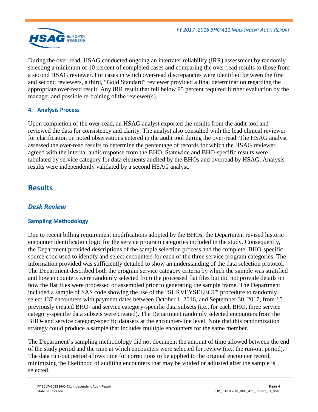

During the over-read, HSAG conducted ongoing an interrater reliability (IRR) assessment by randomly selecting a minimum of 10 percent of completed cases and comparing the over-read results to those from a second HSAG reviewer. For cases in which over-read discrepancies were identified between the first and second reviewers, a third, "Gold Standard" reviewer provided a final determination regarding the appropriate over-read result. Any IRR result that fell below 95 percent required further evaluation by the manager and possible re-training of the reviewer(s).

## **4. Analysis Process**

Upon completion of the over-read, an HSAG analyst exported the results from the audit tool and reviewed the data for consistency and clarity. The analyst also consulted with the lead clinical reviewer for clarification on noted observations entered in the audit tool during the over-read. The HSAG analyst assessed the over-read results to determine the percentage of records for which the HSAG reviewer agreed with the internal audit response from the BHO. Statewide and BHO-specific results were tabulated by service category for data elements audited by the BHOs and overread by HSAG. Analysis results were independently validated by a second HSAG analyst.

## <span id="page-5-0"></span>**Results**

## <span id="page-5-1"></span>*Desk Review*

## **Sampling Methodology**

Due to recent billing requirement modifications adopted by the BHOs, the Department revised historic encounter identification logic for the service program categories included in the study. Consequently, the Department provided descriptions of the sample selection process and the complete, BHO-specific source code used to identify and select encounters for each of the three service program categories. The information provided was sufficiently detailed to show an understanding of the data selection protocol. The Department described both the program service category criteria by which the sample was stratified and how encounters were randomly selected from the processed flat files but did not provide details on how the flat files were processed or assembled prior to generating the sample frame. The Department included a sample of SAS code showing the use of the "SURVEYSELECT" procedure to randomly select 137 encounters with payment dates between October 1, 2016, and September 30, 2017, from 15 previously created BHO- and service category-specific data subsets (i.e., for each BHO, three service category-specific data subsets were created). The Department randomly selected encounters from the BHO- and service category-specific datasets at the encounter-line level. Note that this randomization strategy could produce a sample that includes multiple encounters for the same member.

The Department's sampling methodology did not document the amount of time allowed between the end of the study period and the time at which encounters were selected for review (i.e., the run-out period). The data run-out period allows time for corrections to be applied to the original encounter record, minimizing the likelihood of auditing encounters that may be voided or adjusted after the sample is selected.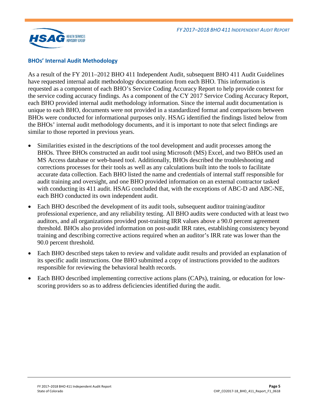

#### **BHOs' Internal Audit Methodology**

As a result of the FY 2011–2012 BHO 411 Independent Audit, subsequent BHO 411 Audit Guidelines have requested internal audit methodology documentation from each BHO. This information is requested as a component of each BHO's Service Coding Accuracy Report to help provide context for the service coding accuracy findings. As a component of the CY 2017 Service Coding Accuracy Report, each BHO provided internal audit methodology information. Since the internal audit documentation is unique to each BHO, documents were not provided in a standardized format and comparisons between BHOs were conducted for informational purposes only. HSAG identified the findings listed below from the BHOs' internal audit methodology documents, and it is important to note that select findings are similar to those reported in previous years.

- Similarities existed in the descriptions of the tool development and audit processes among the BHOs. Three BHOs constructed an audit tool using Microsoft (MS) Excel, and two BHOs used an MS Access database or web-based tool. Additionally, BHOs described the troubleshooting and corrections processes for their tools as well as any calculations built into the tools to facilitate accurate data collection. Each BHO listed the name and credentials of internal staff responsible for audit training and oversight, and one BHO provided information on an external contractor tasked with conducting its 411 audit. HSAG concluded that, with the exceptions of ABC-D and ABC-NE, each BHO conducted its own independent audit.
- Each BHO described the development of its audit tools, subsequent auditor training/auditor professional experience, and any reliability testing. All BHO audits were conducted with at least two auditors, and all organizations provided post-training IRR values above a 90.0 percent agreement threshold. BHOs also provided information on post-audit IRR rates, establishing consistency beyond training and describing corrective actions required when an auditor's IRR rate was lower than the 90.0 percent threshold.
- Each BHO described steps taken to review and validate audit results and provided an explanation of its specific audit instructions. One BHO submitted a copy of instructions provided to the auditors responsible for reviewing the behavioral health records.
- Each BHO described implementing corrective actions plans (CAPs), training, or education for lowscoring providers so as to address deficiencies identified during the audit.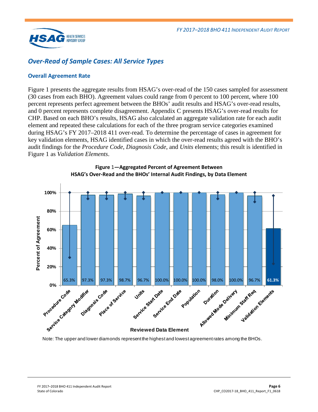

## <span id="page-7-0"></span>*Over-Read of Sample Cases: All Service Types*

### **Overall Agreement Rate**

[Figure 1](#page-7-1) presents the aggregate results from HSAG's over-read of the 150 cases sampled for assessment (30 cases from each BHO). Agreement values could range from 0 percent to 100 percent, where 100 percent represents perfect agreement between the BHOs' audit results and HSAG's over-read results, and 0 percent represents complete disagreement. Appendix C presents HSAG's over-read results for CHP. Based on each BHO's results, HSAG also calculated an aggregate validation rate for each audit element and repeated these calculations for each of the three program service categories examined during HSAG's FY 2017–2018 411 over-read. To determine the percentage of cases in agreement for key validation elements, HSAG identified cases in which the over-read results agreed with the BHO's audit findings for the *Procedure Code*, *Diagnosis Code*, and *Units* elements; this result is identified in [Figure 1](#page-7-1) as *Validation Elements*.

<span id="page-7-1"></span>



Note: The upper and lower diamonds represent the highest and lowest agreement rates among the BHOs.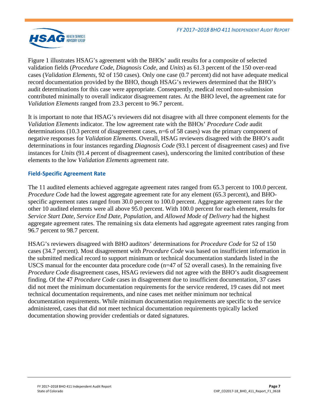

[Figure 1](#page-7-1) illustrates HSAG's agreement with the BHOs' audit results for a composite of selected validation fields (*Procedure Code*, *Diagnosis Code*, and *Units*) as 61.3 percent of the 150 over-read cases (*Validation Elements*, 92 of 150 cases). Only one case (0.7 percent) did not have adequate medical record documentation provided by the BHO, though HSAG's reviewers determined that the BHO's audit determinations for this case were appropriate. Consequently, medical record non-submission contributed minimally to overall indicator disagreement rates. At the BHO level, the agreement rate for *Validation Elements* ranged from 23.3 percent to 96.7 percent.

It is important to note that HSAG's reviewers did not disagree with all three component elements for the *Validation Elements* indicator. The low agreement rate with the BHOs' *Procedure Code* audit determinations (10.3 percent of disagreement cases, n=6 of 58 cases) was the primary component of negative responses for *Validation Elements*. Overall, HSAG reviewers disagreed with the BHO's audit determinations in four instances regarding *Diagnosis Code* (93.1 percent of disagreement cases) and five instances for *Units* (91.4 percent of disagreement cases), underscoring the limited contribution of these elements to the low *Validation Elements* agreement rate.

### **Field-Specific Agreement Rate**

The 11 audited elements achieved aggregate agreement rates ranged from 65.3 percent to 100.0 percent. *Procedure Code* had the lowest aggregate agreement rate for any element (65.3 percent), and BHOspecific agreement rates ranged from 30.0 percent to 100.0 percent. Aggregate agreement rates for the other 10 audited elements were all above 95.0 percent. With 100.0 percent for each element, results for *Service Start Date*, *Service End Date*, *Population,* and *Allowed Mode of Delivery* had the highest aggregate agreement rates. The remaining six data elements had aggregate agreement rates ranging from 96.7 percent to 98.7 percent.

HSAG's reviewers disagreed with BHO auditors' determinations for *Procedure Code* for 52 of 150 cases (34.7 percent). Most disagreement with *Procedure Code* was based on insufficient information in the submitted medical record to support minimum or technical documentation standards listed in the USCS manual for the encounter data procedure code ( $n=47$  of 52 overall cases). In the remaining five *Procedure Code* disagreement cases, HSAG reviewers did not agree with the BHO's audit disagreement finding. Of the 47 *Procedure Code* cases in disagreement due to insufficient documentation, 37 cases did not meet the minimum documentation requirements for the service rendered, 19 cases did not meet technical documentation requirements, and nine cases met neither minimum nor technical documentation requirements. While minimum documentation requirements are specific to the service administered, cases that did not meet technical documentation requirements typically lacked documentation showing provider credentials or dated signatures.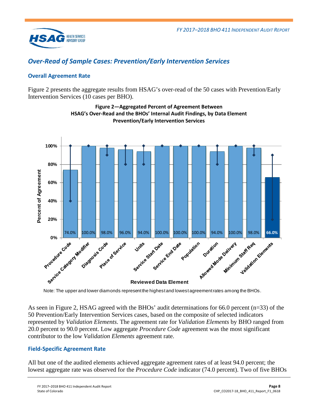

## <span id="page-9-0"></span>*Over-Read of Sample Cases: Prevention/Early Intervention Services*

## **Overall Agreement Rate**

<span id="page-9-1"></span>[Figure 2](#page-9-1) presents the aggregate results from HSAG's over-read of the 50 cases with Prevention/Early Intervention Services (10 cases per BHO).



**Figure 2—Aggregated Percent of Agreement Between HSAG's Over-Read and the BHOs' Internal Audit Findings, by Data Element Prevention/Early Intervention Services**

Note: The upper and lower diamonds represent the highest and lowest agreement rates among the BHOs.

As seen in [Figure 2,](#page-9-1) HSAG agreed with the BHOs' audit determinations for 66.0 percent (n=33) of the 50 Prevention/Early Intervention Services cases, based on the composite of selected indicators represented by *Validation Elements*. The agreement rate for *Validation Elements* by BHO ranged from 20.0 percent to 90.0 percent. Low aggregate *Procedure Code* agreement was the most significant contributor to the low *Validation Elements* agreement rate.

## **Field-Specific Agreement Rate**

All but one of the audited elements achieved aggregate agreement rates of at least 94.0 percent; the lowest aggregate rate was observed for the *Procedure Code* indicator (74.0 percent). Two of five BHOs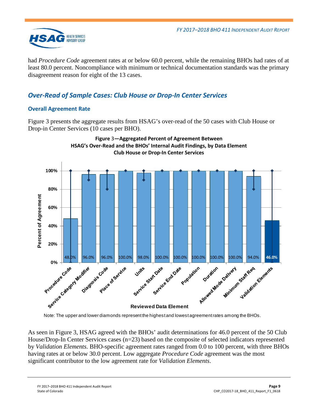

had *Procedure Code* agreement rates at or below 60.0 percent, while the remaining BHOs had rates of at least 80.0 percent. Noncompliance with minimum or technical documentation standards was the primary disagreement reason for eight of the 13 cases.

## <span id="page-10-0"></span>*Over-Read of Sample Cases: Club House or Drop-In Center Services*

## **Overall Agreement Rate**

[Figure 3](#page-10-1) presents the aggregate results from HSAG's over-read of the 50 cases with Club House or Drop-in Center Services (10 cases per BHO).

<span id="page-10-1"></span>

Note: The upper and lower diamonds represent the highest and lowest agreement rates among the BHOs.

As seen in [Figure 3,](#page-10-1) HSAG agreed with the BHOs' audit determinations for 46.0 percent of the 50 Club House/Drop-In Center Services cases (n=23) based on the composite of selected indicators represented by *Validation Elements*. BHO-specific agreement rates ranged from 0.0 to 100 percent, with three BHOs having rates at or below 30.0 percent. Low aggregate *Procedure Code* agreement was the most significant contributor to the low agreement rate for *Validation Elements*.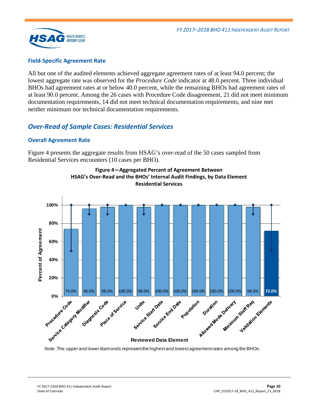

#### **Field-Specific Agreement Rate**

All but one of the audited elements achieved aggregate agreement rates of at least 94.0 percent; the lowest aggregate rate was observed for the *Procedure Code* indicator at 48.0 percent. Three individual BHOs had agreement rates at or below 40.0 percent, while the remaining BHOs had agreement rates of at least 90.0 percent. Among the 26 cases with Procedure Code disagreement, 21 did not meet minimum documentation requirements, 14 did not meet technical documentation requirements, and nine met neither minimum nor technical documentation requirements.

## <span id="page-11-0"></span>*Over-Read of Sample Cases: Residential Services*

#### **Overall Agreement Rate**

<span id="page-11-1"></span>[Figure 4](#page-11-1) presents the aggregate results from HSAG's over-read of the 50 cases sampled from Residential Services encounters (10 cases per BHO).





Note: The upper and lower diamonds represent the highest and lowest agreement rates among the BHOs.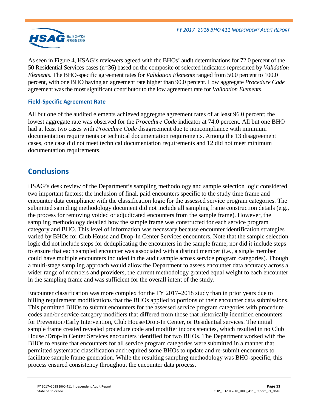

As seen in [Figure 4,](#page-11-1) HSAG's reviewers agreed with the BHOs' audit determinations for 72.0 percent of the 50 Residential Services cases (n=36) based on the composite of selected indicators represented by *Validation Elements*. The BHO-specific agreement rates for *Validation Elements* ranged from 50.0 percent to 100.0 percent, with one BHO having an agreement rate higher than 90.0 percent. Low aggregate *Procedure Code* agreement was the most significant contributor to the low agreement rate for *Validation Elements*.

## **Field-Specific Agreement Rate**

All but one of the audited elements achieved aggregate agreement rates of at least 96.0 percent; the lowest aggregate rate was observed for the *Procedure Code* indicator at 74.0 percent. All but one BHO had at least two cases with *Procedure Code* disagreement due to noncompliance with minimum documentation requirements or technical documentation requirements. Among the 13 disagreement cases, one case did not meet technical documentation requirements and 12 did not meet minimum documentation requirements.

## <span id="page-12-0"></span>**Conclusions**

HSAG's desk review of the Department's sampling methodology and sample selection logic considered two important factors: the inclusion of final, paid encounters specific to the study time frame and encounter data compliance with the classification logic for the assessed service program categories. The submitted sampling methodology document did not include all sampling frame construction details (e.g., the process for removing voided or adjudicated encounters from the sample frame). However, the sampling methodology detailed how the sample frame was constructed for each service program category and BHO. This level of information was necessary because encounter identification strategies varied by BHOs for Club House and Drop-In Center Services encounters. Note that the sample selection logic did not include steps for deduplicating the encounters in the sample frame, nor did it include steps to ensure that each sampled encounter was associated with a distinct member (i.e., a single member could have multiple encounters included in the audit sample across service program categories). Though a multi-stage sampling approach would allow the Department to assess encounter data accuracy across a wider range of members and providers, the current methodology granted equal weight to each encounter in the sampling frame and was sufficient for the overall intent of the study.

Encounter classification was more complex for the FY 2017–2018 study than in prior years due to billing requirement modifications that the BHOs applied to portions of their encounter data submissions. This permitted BHOs to submit encounters for the assessed service program categories with procedure codes and/or service category modifiers that differed from those that historically identified encounters for Prevention/Early Intervention, Club House/Drop-In Center, or Residential services. The initial sample frame created revealed procedure code and modifier inconsistencies, which resulted in no Club House /Drop-In Center Services encounters identified for two BHOs. The Department worked with the BHOs to ensure that encounters for all service program categories were submitted in a manner that permitted systematic classification and required some BHOs to update and re-submit encounters to facilitate sample frame generation. While the resulting sampling methodology was BHO-specific, this process ensured consistency throughout the encounter data process.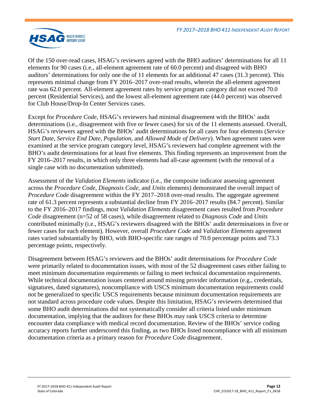

Of the 150 over-read cases, HSAG's reviewers agreed with the BHO auditors' determinations for all 11 elements for 90 cases (i.e., all-element agreement rate of 60.0 percent) and disagreed with BHO auditors' determinations for only one the of 11 elements for an additional 47 cases (31.3 percent). This represents minimal change from FY 2016–2017 over-read results, wherein the all-element agreement rate was 62.0 percent. All-element agreement rates by service program category did not exceed 70.0 percent (Residential Services), and the lowest all-element agreement rate (44.0 percent) was observed for Club House/Drop-In Center Services cases.

Except for *Procedure Code*, HSAG's reviewers had minimal disagreement with the BHOs' audit determinations (i.e., disagreement with five or fewer cases) for six of the 11 elements assessed. Overall, HSAG's reviewers agreed with the BHOs' audit determinations for all cases for four elements (*Service Start Date*, *Service End Date*, *Population*, and *Allowed Mode of Delivery*). When agreement rates were examined at the service program category level, HSAG's reviewers had complete agreement with the BHO's audit determinations for at least five elements. This finding represents an improvement from the FY 2016–2017 results, in which only three elements had all-case agreement (with the removal of a single case with no documentation submitted).

Assessment of the *Validation Elements* indicator (i.e., the composite indicator assessing agreement across the *Procedure Code*, *Diagnosis Code*, and *Units* elements) demonstrated the overall impact of *Procedure Code* disagreement within the FY 2017–2018 over-read results. The aggregate agreement rate of 61.3 percent represents a substantial decline from FY 2016–2017 results (84.7 percent). Similar to the FY 2016–2017 findings, most *Validation Elements* disagreement cases resulted from *Procedure Code* disagreement (n=52 of 58 cases), while disagreement related to *Diagnosis Code* and *Units* contributed minimally (i.e., HSAG's reviewers disagreed with the BHOs' audit determinations in five or fewer cases for each element). However, overall *Procedure Code* and *Validation Elements* agreement rates varied substantially by BHO, with BHO-specific rate ranges of 70.0 percentage points and 73.3 percentage points, respectively.

Disagreement between HSAG's reviewers and the BHOs' audit determinations for *Procedure Code* were primarily related to documentation issues, with most of the 52 disagreement cases either failing to meet minimum documentation requirements or failing to meet technical documentation requirements. While technical documentation issues centered around missing provider information (e.g., credentials, signatures, dated signatures), noncompliance with USCS minimum documentation requirements could not be generalized to specific USCS requirements because minimum documentation requirements are not standard across procedure code values. Despite this limitation, HSAG's reviewers determined that some BHO audit determinations did not systematically consider all criteria listed under minimum documentation, implying that the auditors for these BHOs may rank USCS criteria to determine encounter data compliance with medical record documentation. Review of the BHOs' service coding accuracy reports further underscored this finding, as two BHOs listed noncompliance with all minimum documentation criteria as a primary reason for *Procedure Code* disagreement.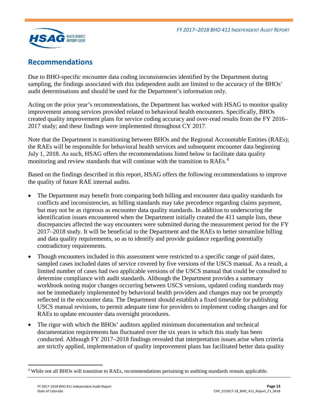

## <span id="page-14-0"></span>**Recommendations**

Due to BHO-specific encounter data coding inconsistencies identified by the Department during sampling, the findings associated with this independent audit are limited to the accuracy of the BHOs' audit determinations and should be used for the Department's information only.

Acting on the prior year's recommendations, the Department has worked with HSAG to monitor quality improvement among services provided related to behavioral health encounters. Specifically, BHOs created quality improvement plans for service coding accuracy and over-read results from the FY 2016– 2017 study; and these findings were implemented throughout CY 2017.

Note that the Department is transitioning between BHOs and the Regional Accountable Entities (RAEs); the RAEs will be responsible for behavioral health services and subsequent encounter data beginning July 1, 2018. As such, HSAG offers the recommendations listed below to facilitate data quality monitoring and review standards that will continue with the transition to RAEs.<sup>[4](#page-14-1)</sup>

Based on the findings described in this report, HSAG offers the following recommendations to improve the quality of future RAE internal audits.

- The Department may benefit from comparing both billing and encounter data quality standards for conflicts and inconsistencies, as billing standards may take precedence regarding claims payment, but may not be as rigorous as encounter data quality standards. In addition to underscoring the identification issues encountered when the Department initially created the 411 sample lists, these discrepancies affected the way encounters were submitted during the measurement period for the FY 2017–2018 study. It will be beneficial to the Department and the RAEs to better streamline billing and data quality requirements, so as to identify and provide guidance regarding potentially contradictory requirements.
- Though encounters included in this assessment were restricted to a specific range of paid dates, sampled cases included dates of service covered by five versions of the USCS manual. As a result, a limited number of cases had two applicable versions of the USCS manual that could be consulted to determine compliance with audit standards. Although the Department provides a summary workbook noting major changes occurring between USCS versions, updated coding standards may not be immediately implemented by behavioral health providers and changes may not be promptly reflected in the encounter data. The Department should establish a fixed timetable for publishing USCS manual revisions, to permit adequate time for providers to implement coding changes and for RAEs to update encounter data oversight procedures.
- The rigor with which the BHOs' auditors applied minimum documentation and technical documentation requirements has fluctuated over the six years in which this study has been conducted. Although FY 2017–2018 findings revealed that interpretation issues arise when criteria are strictly applied, implementation of quality improvement plans has facilitated better data quality

<span id="page-14-1"></span> <sup>4</sup> While not all BHOs will transition to RAEs, recommendations pertaining to auditing standards remain applicable.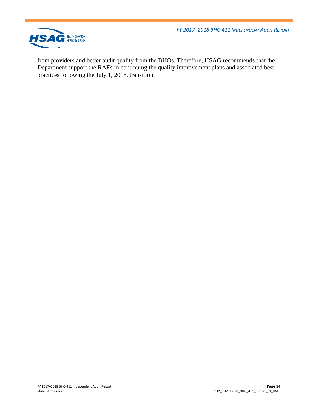*FY 2017–2018 BHO 411 INDEPENDENT AUDIT REPORT*



from providers and better audit quality from the BHOs. Therefore, HSAG recommends that the Department support the RAEs in continuing the quality improvement plans and associated best practices following the July 1, 2018, transition.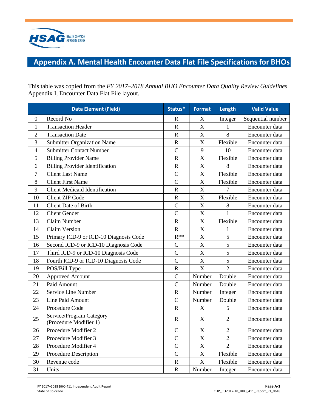

# <span id="page-16-0"></span>**Appendix A. Mental Health Encounter Data Flat File Specifications for BHOs**

This table was copied from the *FY 2017–2018 Annual BHO Encounter Data Quality Review Guidelines*  Appendix I, Encounter Data Flat File layout.

|                | <b>Data Element (Field)</b>                        | Status*        | <b>Format</b>             | Length         | <b>Valid Value</b> |
|----------------|----------------------------------------------------|----------------|---------------------------|----------------|--------------------|
| $\mathbf{0}$   | Record No                                          | $\mathbf R$    | X                         | Integer        | Sequential number  |
| 1              | <b>Transaction Header</b>                          | $\mathbf R$    | $\mathbf X$               | 1              | Encounter data     |
| $\overline{2}$ | <b>Transaction Date</b>                            | $\mathbf R$    | $\boldsymbol{\mathrm{X}}$ | 8              | Encounter data     |
| 3              | <b>Submitter Organization Name</b>                 | $\mathbf R$    | X                         | Flexible       | Encounter data     |
| 4              | <b>Submitter Contact Number</b>                    | $\overline{C}$ | 9                         | 10             | Encounter data     |
| 5              | <b>Billing Provider Name</b>                       | $\mathbf R$    | $\mathbf X$               | Flexible       | Encounter data     |
| 6              | <b>Billing Provider Identification</b>             | $\mathbf R$    | $\mathbf X$               | 8              | Encounter data     |
| 7              | <b>Client Last Name</b>                            | $\mathcal{C}$  | $\mathbf X$               | Flexible       | Encounter data     |
| 8              | <b>Client First Name</b>                           | $\overline{C}$ | $\boldsymbol{\mathrm{X}}$ | Flexible       | Encounter data     |
| 9              | <b>Client Medicaid Identification</b>              | $\mathbf R$    | $\mathbf X$               | 7              | Encounter data     |
| 10             | <b>Client ZIP Code</b>                             | $\mathbf R$    | $\boldsymbol{\mathrm{X}}$ | Flexible       | Encounter data     |
| 11             | <b>Client Date of Birth</b>                        | $\overline{C}$ | $\boldsymbol{\mathrm{X}}$ | 8              | Encounter data     |
| 12             | <b>Client Gender</b>                               | $\overline{C}$ | $\mathbf X$               | 1              | Encounter data     |
| 13             | Claim Number                                       | $\mathbf R$    | $\mathbf X$               | Flexible       | Encounter data     |
| 14             | <b>Claim Version</b>                               | $\mathbf R$    | $\mathbf X$               | 1              | Encounter data     |
| 15             | Primary ICD-9 or ICD-10 Diagnosis Code             | $R^{**}$       | $\mathbf X$               | 5              | Encounter data     |
| 16             | Second ICD-9 or ICD-10 Diagnosis Code              | $\mathsf{C}$   | X                         | 5              | Encounter data     |
| 17             | Third ICD-9 or ICD-10 Diagnosis Code               | $\mathcal{C}$  | $\mathbf X$               | 5              | Encounter data     |
| 18             | Fourth ICD-9 or ICD-10 Diagnosis Code              | $\overline{C}$ | X                         | 5              | Encounter data     |
| 19             | POS/Bill Type                                      | $\mathbf R$    | $\boldsymbol{\mathrm{X}}$ | $\overline{2}$ | Encounter data     |
| 20             | <b>Approved Amount</b>                             | $\mathcal{C}$  | Number                    | Double         | Encounter data     |
| 21             | Paid Amount                                        | $\overline{C}$ | Number                    | Double         | Encounter data     |
| 22             | Service Line Number                                | $\mathbf R$    | Number                    | Integer        | Encounter data     |
| 23             | Line Paid Amount                                   | $\overline{C}$ | Number                    | Double         | Encounter data     |
| 24             | Procedure Code                                     | $\mathbf R$    | X                         | 5              | Encounter data     |
| 25             | Service/Program Category<br>(Procedure Modifier 1) | $\mathbf R$    | $\boldsymbol{\mathrm{X}}$ | $\overline{2}$ | Encounter data     |
| 26             | Procedure Modifier 2                               | $\mathcal{C}$  | $\mathbf X$               | $\overline{2}$ | Encounter data     |
| 27             | Procedure Modifier 3                               | $\mathbf C$    | $\mathbf X$               | $\overline{2}$ | Encounter data     |
| 28             | Procedure Modifier 4                               | $\overline{C}$ | $\mathbf X$               | $\overline{2}$ | Encounter data     |
| 29             | Procedure Description                              | $\mathsf{C}$   | $\mathbf X$               | Flexible       | Encounter data     |
| 30             | Revenue code                                       | $\mathbf R$    | $\mathbf X$               | Flexible       | Encounter data     |
| 31             | Units                                              | ${\bf R}$      | Number                    | Integer        | Encounter data     |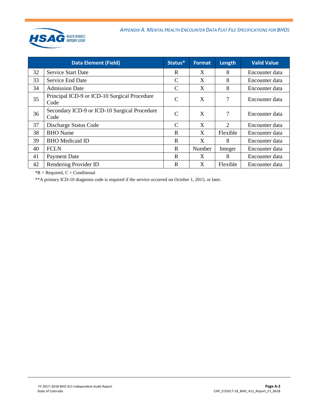

| <b>Data Element (Field)</b> |                                                      | Status*       | <b>Format</b> | Length                      | <b>Valid Value</b> |
|-----------------------------|------------------------------------------------------|---------------|---------------|-----------------------------|--------------------|
| 32                          | <b>Service Start Date</b>                            | R             | X             | 8                           | Encounter data     |
| 33                          | Service End Date                                     | C             | X             | 8                           | Encounter data     |
| 34                          | <b>Admission Date</b>                                | C             | X             | 8                           | Encounter data     |
| 35                          | Principal ICD-9 or ICD-10 Surgical Procedure<br>Code | $\mathcal{C}$ | X             | 7                           | Encounter data     |
| 36                          | Secondary ICD-9 or ICD-10 Surgical Procedure<br>Code | $\mathcal{C}$ | X             | 7                           | Encounter data     |
| 37                          | Discharge Status Code                                | $\mathcal{C}$ | X             | $\mathcal{D}_{\mathcal{L}}$ | Encounter data     |
| 38                          | <b>BHO</b> Name                                      | $\mathbf R$   | X             | Flexible                    | Encounter data     |
| 39                          | <b>BHO</b> Medicaid ID                               | $\mathbf R$   | X             | 8                           | Encounter data     |
| 40                          | <b>FCLN</b>                                          | $\mathbf R$   | Number        | Integer                     | Encounter data     |
| 41                          | <b>Payment Date</b>                                  | R             | X             | 8                           | Encounter data     |
| 42                          | Rendering Provider ID                                | R             | X             | Flexible                    | Encounter data     |

 $*R$  = Required,  $C$  = Conditional

\*\*A primary ICD-10 diagnosis code is required if the service occurred on October 1, 2015, or later.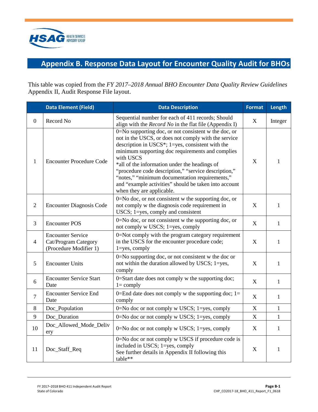

# <span id="page-18-0"></span>**Appendix B. Response Data Layout for Encounter Quality Audit for BHOs**

This table was copied from the *FY 2017–2018 Annual BHO Encounter Data Quality Review Guidelines*  Appendix II, Audit Response File layout.

|                  | <b>Data Element (Field)</b>                                                | <b>Data Description</b>                                                                                                                                                                                                                                                                                                                                                                                                                                                                     | <b>Format</b>             | Length       |
|------------------|----------------------------------------------------------------------------|---------------------------------------------------------------------------------------------------------------------------------------------------------------------------------------------------------------------------------------------------------------------------------------------------------------------------------------------------------------------------------------------------------------------------------------------------------------------------------------------|---------------------------|--------------|
| $\boldsymbol{0}$ | Record No                                                                  | Sequential number for each of 411 records; Should<br>align with the <i>Record No</i> in the flat file (Appendix I)                                                                                                                                                                                                                                                                                                                                                                          | X                         | Integer      |
| $\mathbf{1}$     | <b>Encounter Procedure Code</b>                                            | $0 = No$ supporting doc, or not consistent w the doc, or<br>not in the USCS, or does not comply with the service<br>description in USCS*; $1 = yes$ , consistent with the<br>minimum supporting doc requirements and complies<br>with USCS<br>*all of the information under the headings of<br>"procedure code description," "service description,"<br>"notes," "minimum documentation requirements,"<br>and "example activities" should be taken into account<br>when they are applicable. |                           | 1            |
| $\overline{2}$   | <b>Encounter Diagnosis Code</b>                                            | 0=No doc, or not consistent w the supporting doc, or<br>not comply w the diagnosis code requirement in<br>USCS; 1=yes, comply and consistent                                                                                                                                                                                                                                                                                                                                                |                           | $\mathbf{1}$ |
| 3                | <b>Encounter POS</b>                                                       | $0 = No$ doc, or not consistent w the supporting doc, or<br>not comply w USCS; 1=yes, comply                                                                                                                                                                                                                                                                                                                                                                                                | X                         | $\mathbf{1}$ |
| $\overline{4}$   | <b>Encounter Service</b><br>Cat/Program Category<br>(Procedure Modifier 1) | 0=Not comply with the program category requirement<br>in the USCS for the encounter procedure code;<br>$1 = yes$ , comply                                                                                                                                                                                                                                                                                                                                                                   |                           | $\mathbf{1}$ |
| 5                | <b>Encounter Units</b>                                                     | $0 = No$ supporting doc, or not consistent w the doc or<br>not within the duration allowed by USCS; 1=yes,<br>comply                                                                                                                                                                                                                                                                                                                                                                        |                           | $\mathbf{1}$ |
| 6                | <b>Encounter Service Start</b><br>Date                                     | 0=Start date does not comply w the supporting doc;<br>$1 = \text{comply}$                                                                                                                                                                                                                                                                                                                                                                                                                   | X                         | $\mathbf{1}$ |
| $\overline{7}$   | <b>Encounter Service End</b><br>Date                                       | 0=End date does not comply w the supporting doc; $1=$<br>comply                                                                                                                                                                                                                                                                                                                                                                                                                             | X                         | $\mathbf{1}$ |
| 8                | Doc_Population                                                             | $0 = No$ doc or not comply w USCS; 1=yes, comply                                                                                                                                                                                                                                                                                                                                                                                                                                            | $\boldsymbol{\mathrm{X}}$ | $\mathbf{1}$ |
| 9                | Doc_Duration                                                               | 0=No doc or not comply w USCS; 1=yes, comply                                                                                                                                                                                                                                                                                                                                                                                                                                                | X                         | $\mathbf{1}$ |
| 10               | Doc_Allowed_Mode_Deliv<br>ery                                              | $0 = No$ doc or not comply w USCS; 1=yes, comply                                                                                                                                                                                                                                                                                                                                                                                                                                            | X                         | $\mathbf{1}$ |
| 11               | Doc_Staff_Req                                                              | 0=No doc or not comply w USCS if procedure code is<br>included in USCS; 1=yes, comply<br>See further details in Appendix II following this<br>table**                                                                                                                                                                                                                                                                                                                                       | $\mathbf X$               | $\mathbf{1}$ |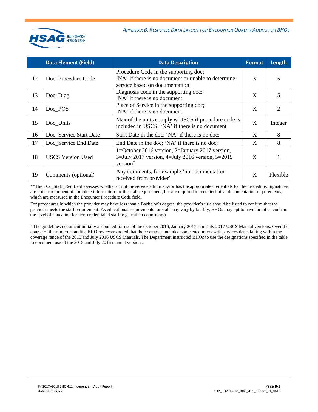

|    | <b>Data Element (Field)</b> | <b>Data Description</b>                                                                                                         | <b>Format</b> | Length   |
|----|-----------------------------|---------------------------------------------------------------------------------------------------------------------------------|---------------|----------|
| 12 | Doc Procedure Code          | Procedure Code in the supporting doc;<br>'NA' if there is no document or unable to determine<br>service based on documentation  | X             | 5        |
| 13 | Doc_Diag                    | Diagnosis code in the supporting doc;<br>'NA' if there is no document                                                           | X             | 5        |
| 14 | Doc_POS                     | Place of Service in the supporting doc;<br>'NA' if there is no document                                                         | X             | 2        |
| 15 | Doc_Units                   | Max of the units comply w USCS if procedure code is<br>included in USCS; 'NA' if there is no document                           | X             | Integer  |
| 16 | Doc_Service Start Date      | Start Date in the doc; 'NA' if there is no doc;                                                                                 | X             | 8        |
| 17 | Doc_Service End Date        | End Date in the doc; 'NA' if there is no doc;                                                                                   | X             | 8        |
| 18 | <b>USCS Version Used</b>    | 1=October 2016 version, 2=January 2017 version,<br>$3 =$ July 2017 version, 4=July 2016 version, 5=2015<br>version <sup>†</sup> | X             |          |
| 19 | Comments (optional)         | Any comments, for example 'no documentation<br>received from provider'                                                          | X             | Flexible |

\*\*The Doc\_Staff\_Req field assesses whether or not the service administrator has the appropriate credentials for the procedure. Signatures are not a component of complete information for the staff requirement, but are required to meet technical documentation requirements, which are measured in the Encounter Procedure Code field.

For procedures in which the provider may have less than a Bachelor's degree, the provider's title should be listed to confirm that the provider meets the staff requirement. As educational requirements for staff may vary by facility, BHOs may opt to have facilities confirm the level of education for non-credentialed staff (e.g., milieu counselors).

† The guidelines document initially accounted for use of the October 2016, January 2017, and July 2017 USCS Manual versions. Over the course of their internal audits, BHO reviewers noted that their samples included some encounters with services dates falling within the coverage range of the 2015 and July 2016 USCS Manuals. The Department instructed BHOs to use the designations specified in the table to document use of the 2015 and July 2016 manual versions.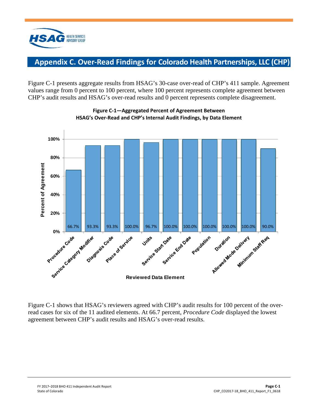

## <span id="page-20-0"></span>**Appendix C. Over-Read Findings for Colorado Health Partnerships, LLC (CHP)**

Figure C-1 presents aggregate results from HSAG's 30-case over-read of CHP's 411 sample. Agreement values range from 0 percent to 100 percent, where 100 percent represents complete agreement between CHP's audit results and HSAG's over-read results and 0 percent represents complete disagreement.





Figure C-1 shows that HSAG's reviewers agreed with CHP's audit results for 100 percent of the overread cases for six of the 11 audited elements. At 66.7 percent, *Procedure Code* displayed the lowest agreement between CHP's audit results and HSAG's over-read results.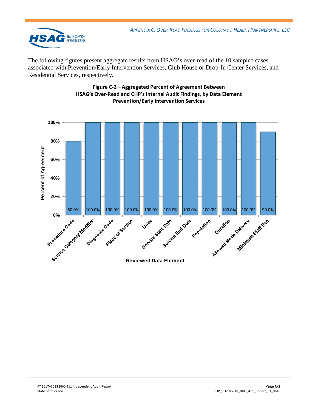

The following figures present aggregate results from HSAG's over-read of the 10 sampled cases associated with Prevention/Early Intervention Services, Club House or Drop-In Center Services, and Residential Services, respectively.



#### **Figure C-2—Aggregated Percent of Agreement Between HSAG's Over-Read and CHP's Internal Audit Findings, by Data Element Prevention/Early Intervention Services**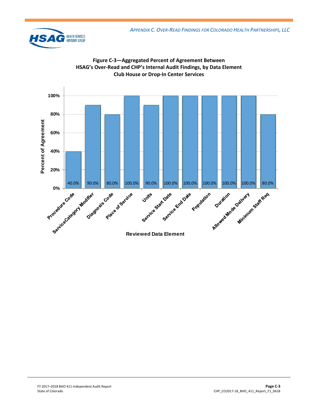



**Figure C-3—Aggregated Percent of Agreement Between**